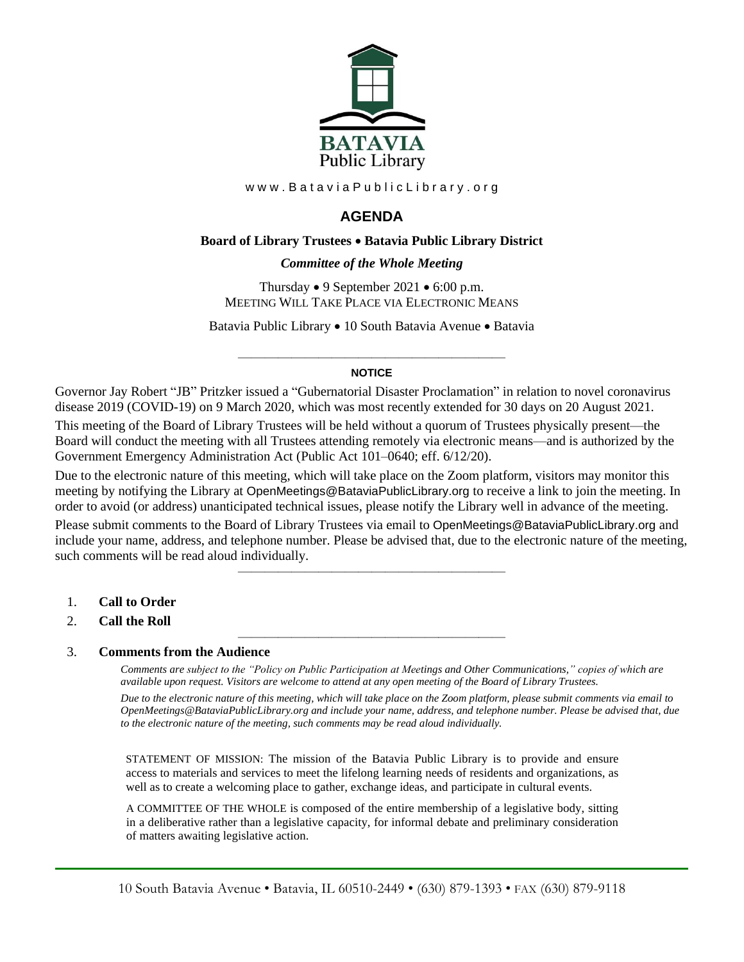

www.BataviaPublicLibrary.org

## **AGENDA**

## **Board of Library Trustees** • **Batavia Public Library District**

## *0BCommittee of the Whole Meeting*

Thursday • 9 September 2021 • 6:00 p.m. MEETING WILL TAKE PLACE VIA ELECTRONIC MEANS

Batavia Public Library • 10 South Batavia Avenue • Batavia

### ———————————————————— **NOTICE**

Governor Jay Robert "JB" Pritzker issued a "Gubernatorial Disaster Proclamation" in relation to novel coronavirus disease 2019 (COVID-19) on 9 March 2020, which was most recently extended for 30 days on 20 August 2021.

This meeting of the Board of Library Trustees will be held without a quorum of Trustees physically present—the Board will conduct the meeting with all Trustees attending remotely via electronic means—and is authorized by the Government Emergency Administration Act (Public Act 101–0640; eff. 6/12/20).

Due to the electronic nature of this meeting, which will take place on the Zoom platform, visitors may monitor this meeting by notifying the Library at OpenMeetings@BataviaPublicLibrary.org to receive a link to join the meeting. In order to avoid (or address) unanticipated technical issues, please notify the Library well in advance of the meeting.

Please submit comments to the Board of Library Trustees via email to OpenMeetings@BataviaPublicLibrary.org and include your name, address, and telephone number. Please be advised that, due to the electronic nature of the meeting, such comments will be read aloud individually.

————————————————————

————————————————————

- 1. **Call to Order**
- 2. **Call the Roll**

#### 3. **Comments from the Audience**

*Comments are subject to the "Policy on Public Participation at Meetings and Other Communications," copies of which are available upon request. Visitors are welcome to attend at any open meeting of the Board of Library Trustees. Due to the electronic nature of this meeting, which will take place on the Zoom platform, please submit comments via email to OpenMeetings@BataviaPublicLibrary.org and include your name, address, and telephone number. Please be advised that, due to the electronic nature of the meeting, such comments may be read aloud individually.*

STATEMENT OF MISSION: The mission of the Batavia Public Library is to provide and ensure access to materials and services to meet the lifelong learning needs of residents and organizations, as well as to create a welcoming place to gather, exchange ideas, and participate in cultural events.

A COMMITTEE OF THE WHOLE is composed of the entire membership of a legislative body, sitting in a deliberative rather than a legislative capacity, for informal debate and preliminary consideration of matters awaiting legislative action.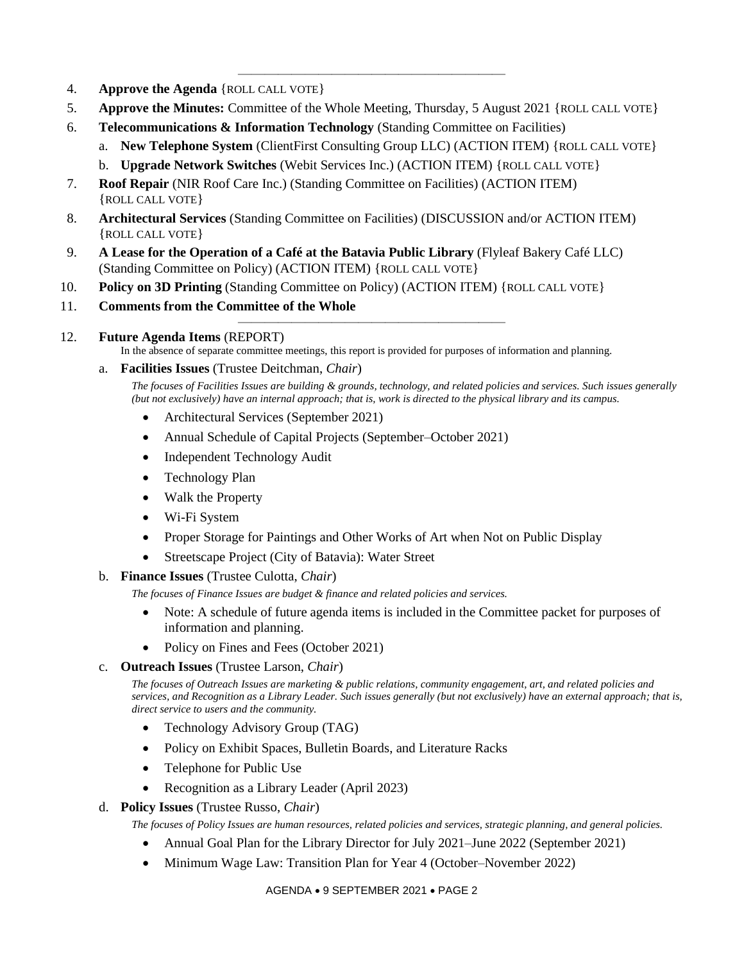- 4. **Approve the Agenda** {ROLL CALL VOTE}
- 5. **Approve the Minutes:** Committee of the Whole Meeting, Thursday, 5 August 2021 {ROLL CALL VOTE}

————————————————————

- 6. **Telecommunications & Information Technology** (Standing Committee on Facilities)
	- a. **New Telephone System** (ClientFirst Consulting Group LLC) (ACTION ITEM) {ROLL CALL VOTE}
	- b. **Upgrade Network Switches** (Webit Services Inc.) (ACTION ITEM) {ROLL CALL VOTE}
- 7. **Roof Repair** (NIR Roof Care Inc.) (Standing Committee on Facilities) (ACTION ITEM) {ROLL CALL VOTE}
- 8. **Architectural Services** (Standing Committee on Facilities) (DISCUSSION and/or ACTION ITEM) {ROLL CALL VOTE}
- 9. **A Lease for the Operation of a Café at the Batavia Public Library** (Flyleaf Bakery Café LLC) (Standing Committee on Policy) (ACTION ITEM) {ROLL CALL VOTE}
- 10. **Policy on 3D Printing** (Standing Committee on Policy) (ACTION ITEM) {ROLL CALL VOTE}
- 11. **Comments from the Committee of the Whole**
- 12. **Future Agenda Items** (REPORT)

In the absence of separate committee meetings, this report is provided for purposes of information and planning.

————————————————————

a. **Facilities Issues** (Trustee Deitchman, *Chair*)

*The focuses of Facilities Issues are building & grounds, technology, and related policies and services. Such issues generally (but not exclusively) have an internal approach; that is, work is directed to the physical library and its campus.*

- Architectural Services (September 2021)
- Annual Schedule of Capital Projects (September–October 2021)
- Independent Technology Audit
- Technology Plan
- Walk the Property
- Wi-Fi System
- Proper Storage for Paintings and Other Works of Art when Not on Public Display
- Streetscape Project (City of Batavia): Water Street

## b. **Finance Issues** (Trustee Culotta, *Chair*)

*The focuses of Finance Issues are budget & finance and related policies and services.*

- Note: A schedule of future agenda items is included in the Committee packet for purposes of information and planning.
- Policy on Fines and Fees (October 2021)

## c. **Outreach Issues** (Trustee Larson, *Chair*)

*The focuses of Outreach Issues are marketing & public relations, community engagement, art, and related policies and services, and Recognition as a Library Leader. Such issues generally (but not exclusively) have an external approach; that is, direct service to users and the community.*

- Technology Advisory Group (TAG)
- Policy on Exhibit Spaces, Bulletin Boards, and Literature Racks
- Telephone for Public Use
- Recognition as a Library Leader (April 2023)

## d. **Policy Issues** (Trustee Russo, *Chair*)

*The focuses of Policy Issues are human resources, related policies and services, strategic planning, and general policies.*

- Annual Goal Plan for the Library Director for July 2021–June 2022 (September 2021)
- Minimum Wage Law: Transition Plan for Year 4 (October–November 2022)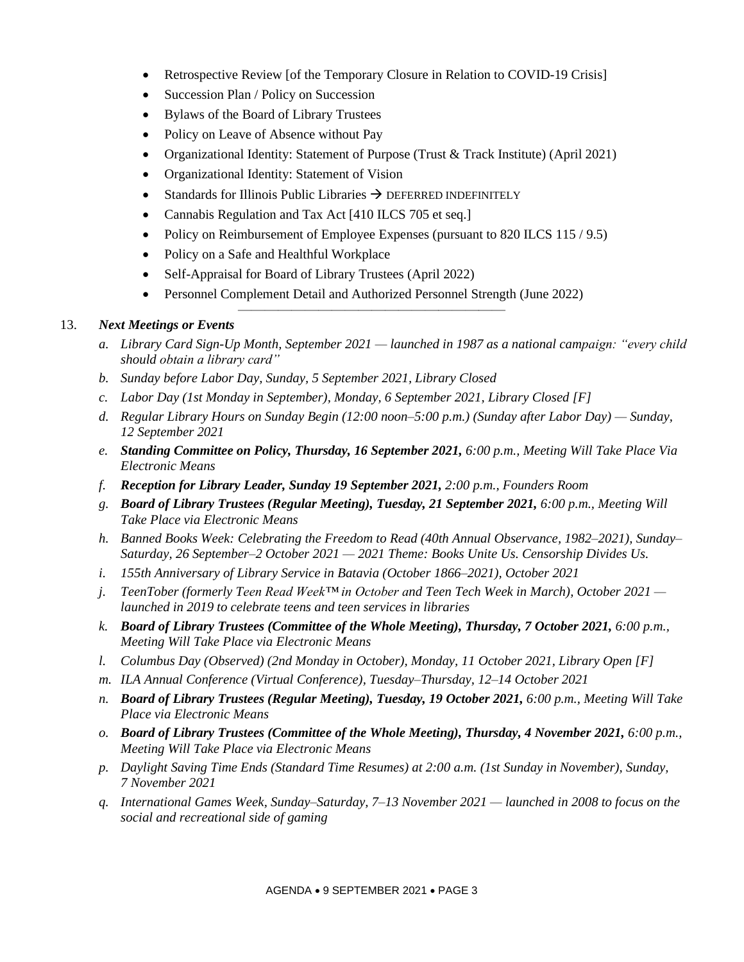- Retrospective Review [of the Temporary Closure in Relation to COVID-19 Crisis]
- Succession Plan / Policy on Succession
- Bylaws of the Board of Library Trustees
- Policy on Leave of Absence without Pay
- Organizational Identity: Statement of Purpose (Trust & Track Institute) (April 2021)
- Organizational Identity: Statement of Vision
- Standards for Illinois Public Libraries → DEFERRED INDEFINITELY
- Cannabis Regulation and Tax Act [410 ILCS 705 et seq.]
- Policy on Reimbursement of Employee Expenses (pursuant to 820 ILCS 115 / 9.5)
- Policy on a Safe and Healthful Workplace
- Self-Appraisal for Board of Library Trustees (April 2022)
- Personnel Complement Detail and Authorized Personnel Strength (June 2022)

————————————————————

# 13. *Next Meetings or Events*

- *a. Library Card Sign-Up Month, September 2021 — launched in 1987 as a national campaign: "every child should obtain a library card"*
- *b. Sunday before Labor Day, Sunday, 5 September 2021, Library Closed*
- *c. Labor Day (1st Monday in September), Monday, 6 September 2021, Library Closed [F]*
- *d. Regular Library Hours on Sunday Begin (12:00 noon–5:00 p.m.) (Sunday after Labor Day) — Sunday, 12 September 2021*
- *e. Standing Committee on Policy, Thursday, 16 September 2021, 6:00 p.m., Meeting Will Take Place Via Electronic Means*
- *f. Reception for Library Leader, Sunday 19 September 2021, 2:00 p.m., Founders Room*
- *g. Board of Library Trustees (Regular Meeting), Tuesday, 21 September 2021, 6:00 p.m., Meeting Will Take Place via Electronic Means*
- *h. Banned Books Week: Celebrating the Freedom to Read (40th Annual Observance, 1982–2021), Sunday– Saturday, 26 September–2 October 2021 — 2021 Theme: Books Unite Us. Censorship Divides Us.*
- *i. 155th Anniversary of Library Service in Batavia (October 1866–2021), October 2021*
- *j. TeenTober (formerly Teen Read Week™ in October and Teen Tech Week in March), October 2021 launched in 2019 to celebrate teens and teen services in libraries*
- *k. Board of Library Trustees (Committee of the Whole Meeting), Thursday, 7 October 2021, 6:00 p.m., Meeting Will Take Place via Electronic Means*
- *l. Columbus Day (Observed) (2nd Monday in October), Monday, 11 October 2021, Library Open [F]*
- *m. ILA Annual Conference (Virtual Conference), Tuesday–Thursday, 12–14 October 2021*
- *n. Board of Library Trustees (Regular Meeting), Tuesday, 19 October 2021, 6:00 p.m., Meeting Will Take Place via Electronic Means*
- *o. Board of Library Trustees (Committee of the Whole Meeting), Thursday, 4 November 2021, 6:00 p.m., Meeting Will Take Place via Electronic Means*
- *p. Daylight Saving Time Ends (Standard Time Resumes) at 2:00 a.m. (1st Sunday in November), Sunday, 7 November 2021*
- *q. International Games Week, Sunday–Saturday, 7–13 November 2021 — launched in 2008 to focus on the social and recreational side of gaming*